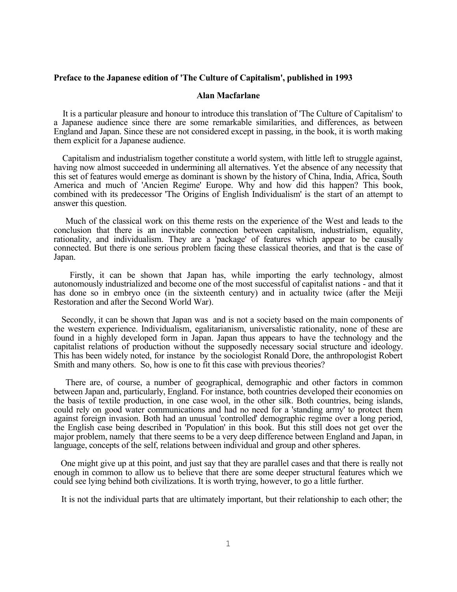## **Preface to the Japanese edition of 'The Culture of Capitalism', published in 1993**

## **Alan Macfarlane**

 It is a particular pleasure and honour to introduce this translation of 'The Culture of Capitalism' to a Japanese audience since there are some remarkable similarities, and differences, as between England and Japan. Since these are not considered except in passing, in the book, it is worth making them explicit for a Japanese audience.

Capitalism and industrialism together constitute a world system, with little left to struggle against, having now almost succeeded in undermining all alternatives. Yet the absence of any necessity that this set of features would emerge as dominant is shown by the history of China, India, Africa, South America and much of 'Ancien Regime' Europe. Why and how did this happen? This book, combined with its predecessor 'The Origins of English Individualism' is the start of an attempt to answer this question.

Much of the classical work on this theme rests on the experience of the West and leads to the conclusion that there is an inevitable connection between capitalism, industrialism, equality, rationality, and individualism. They are a 'package' of features which appear to be causally connected. But there is one serious problem facing these classical theories, and that is the case of Japan.

Firstly, it can be shown that Japan has, while importing the early technology, almost autonomously industrialized and become one of the most successful of capitalist nations - and that it has done so in embryo once (in the sixteenth century) and in actuality twice (after the Meiji Restoration and after the Second World War).

Secondly, it can be shown that Japan was and is not a society based on the main components of the western experience. Individualism, egalitarianism, universalistic rationality, none of these are found in a highly developed form in Japan. Japan thus appears to have the technology and the capitalist relations of production without the supposedly necessary social structure and ideology. This has been widely noted, for instance by the sociologist Ronald Dore, the anthropologist Robert Smith and many others. So, how is one to fit this case with previous theories?

There are, of course, a number of geographical, demographic and other factors in common between Japan and, particularly, England. For instance, both countries developed their economies on the basis of textile production, in one case wool, in the other silk. Both countries, being islands, could rely on good water communications and had no need for a 'standing army' to protect them against foreign invasion. Both had an unusual 'controlled' demographic regime over a long period, the English case being described in 'Population' in this book. But this still does not get over the major problem, namely that there seems to be a very deep difference between England and Japan, in language, concepts of the self, relations between individual and group and other spheres.

 One might give up at this point, and just say that they are parallel cases and that there is really not enough in common to allow us to believe that there are some deeper structural features which we could see lying behind both civilizations. It is worth trying, however, to go a little further.

It is not the individual parts that are ultimately important, but their relationship to each other; the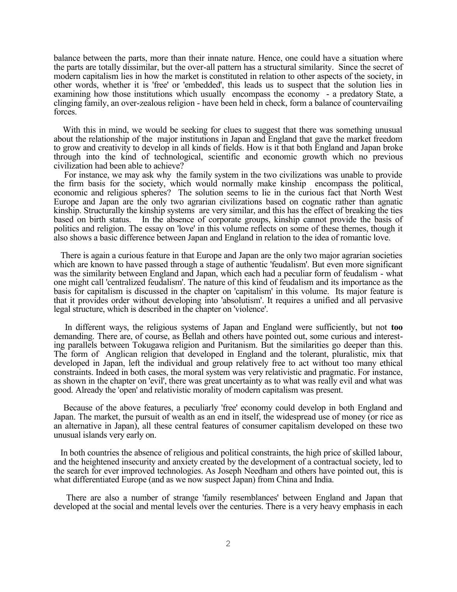balance between the parts, more than their innate nature. Hence, one could have a situation where the parts are totally dissimilar, but the over-all pattern has a structural similarity. Since the secret of modern capitalism lies in how the market is constituted in relation to other aspects of the society, in other words, whether it is 'free' or 'embedded', this leads us to suspect that the solution lies in examining how those institutions which usually encompass the economy - a predatory State, a clinging family, an over-zealous religion - have been held in check, form a balance of countervailing forces.

With this in mind, we would be seeking for clues to suggest that there was something unusual about the relationship of the major institutions in Japan and England that gave the market freedom to grow and creativity to develop in all kinds of fields. How is it that both England and Japan broke through into the kind of technological, scientific and economic growth which no previous civilization had been able to achieve?

For instance, we may ask why the family system in the two civilizations was unable to provide the firm basis for the society, which would normally make kinship encompass the political, economic and religious spheres? The solution seems to lie in the curious fact that North West Europe and Japan are the only two agrarian civilizations based on cognatic rather than agnatic kinship. Structurally the kinship systems are very similar, and this has the effect of breaking the ties based on birth status. In the absence of corporate groups, kinship cannot provide the basis of politics and religion. The essay on 'love' in this volume reflects on some of these themes, though it also shows a basic difference between Japan and England in relation to the idea of romantic love.

There is again a curious feature in that Europe and Japan are the only two major agrarian societies which are known to have passed through a stage of authentic 'feudalism'. But even more significant was the similarity between England and Japan, which each had a peculiar form of feudalism - what one might call 'centralized feudalism'. The nature of this kind of feudalism and its importance as the basis for capitalism is discussed in the chapter on 'capitalism' in this volume. Its major feature is that it provides order without developing into 'absolutism'. It requires a unified and all pervasive legal structure, which is described in the chapter on 'violence'.

In different ways, the religious systems of Japan and England were sufficiently, but not **too** demanding. There are, of course, as Bellah and others have pointed out, some curious and interesting parallels between Tokugawa religion and Puritanism. But the similarities go deeper than this. The form of Anglican religion that developed in England and the tolerant, pluralistic, mix that developed in Japan, left the individual and group relatively free to act without too many ethical constraints. Indeed in both cases, the moral system was very relativistic and pragmatic. For instance, as shown in the chapter on 'evil', there was great uncertainty as to what was really evil and what was good. Already the 'open' and relativistic morality of modern capitalism was present.

Because of the above features, a peculiarly 'free' economy could develop in both England and Japan. The market, the pursuit of wealth as an end in itself, the widespread use of money (or rice as an alternative in Japan), all these central features of consumer capitalism developed on these two unusual islands very early on.

 In both countries the absence of religious and political constraints, the high price of skilled labour, and the heightened insecurity and anxiety created by the development of a contractual society, led to the search for ever improved technologies. As Joseph Needham and others have pointed out, this is what differentiated Europe (and as we now suspect Japan) from China and India.

There are also a number of strange 'family resemblances' between England and Japan that developed at the social and mental levels over the centuries. There is a very heavy emphasis in each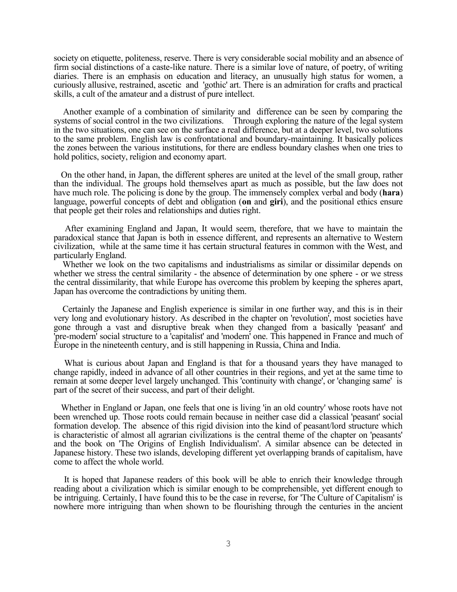society on etiquette, politeness, reserve. There is very considerable social mobility and an absence of firm social distinctions of a caste-like nature. There is a similar love of nature, of poetry, of writing diaries. There is an emphasis on education and literacy, an unusually high status for women, a curiously allusive, restrained, ascetic and 'gothic' art. There is an admiration for crafts and practical skills, a cult of the amateur and a distrust of pure intellect.

Another example of a combination of similarity and difference can be seen by comparing the systems of social control in the two civilizations. Through exploring the nature of the legal system in the two situations, one can see on the surface a real difference, but at a deeper level, two solutions to the same problem. English law is confrontational and boundary-maintaining. It basically polices the zones between the various institutions, for there are endless boundary clashes when one tries to hold politics, society, religion and economy apart.

On the other hand, in Japan, the different spheres are united at the level of the small group, rather than the individual. The groups hold themselves apart as much as possible, but the law does not have much role. The policing is done by the group. The immensely complex verbal and body (**hara**) language, powerful concepts of debt and obligation (**on** and **giri**), and the positional ethics ensure that people get their roles and relationships and duties right.

After examining England and Japan, It would seem, therefore, that we have to maintain the paradoxical stance that Japan is both in essence different, and represents an alternative to Western civilization, while at the same time it has certain structural features in common with the West, and particularly England.

Whether we look on the two capitalisms and industrialisms as similar or dissimilar depends on whether we stress the central similarity - the absence of determination by one sphere - or we stress the central dissimilarity, that while Europe has overcome this problem by keeping the spheres apart, Japan has overcome the contradictions by uniting them.

Certainly the Japanese and English experience is similar in one further way, and this is in their very long and evolutionary history. As described in the chapter on 'revolution', most societies have gone through a vast and disruptive break when they changed from a basically 'peasant' and 'pre-modern' social structure to a 'capitalist' and 'modern' one. This happened in France and much of Europe in the nineteenth century, and is still happening in Russia, China and India.

What is curious about Japan and England is that for a thousand years they have managed to change rapidly, indeed in advance of all other countries in their regions, and yet at the same time to remain at some deeper level largely unchanged. This 'continuity with change', or 'changing same' is part of the secret of their success, and part of their delight.

Whether in England or Japan, one feels that one is living 'in an old country' whose roots have not been wrenched up. Those roots could remain because in neither case did a classical 'peasant' social formation develop. The absence of this rigid division into the kind of peasant/lord structure which is characteristic of almost all agrarian civilizations is the central theme of the chapter on 'peasants' and the book on 'The Origins of English Individualism'. A similar absence can be detected in Japanese history. These two islands, developing different yet overlapping brands of capitalism, have come to affect the whole world.

It is hoped that Japanese readers of this book will be able to enrich their knowledge through reading about a civilization which is similar enough to be comprehensible, yet different enough to be intriguing. Certainly, I have found this to be the case in reverse, for 'The Culture of Capitalism' is nowhere more intriguing than when shown to be flourishing through the centuries in the ancient